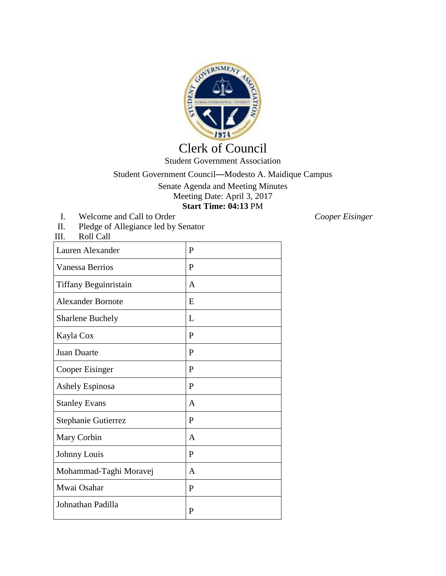

## Clerk of Council Student Government Association

## Student Government Council—Modesto A. Maidique Campus

Senate Agenda and Meeting Minutes Meeting Date: April 3, 2017 **Start Time: 04:13** PM

I. Welcome and Call to Order *Cooper Eisinger*<br>II. Pledge of Allegiance led by Senator II. Pledge of Allegiance led by Senator<br>III. Roll Call

Roll Call

| Lauren Alexander             | P            |
|------------------------------|--------------|
| <b>Vanessa Berrios</b>       | $\mathbf{P}$ |
| <b>Tiffany Beguinristain</b> | A            |
| <b>Alexander Bornote</b>     | E            |
| <b>Sharlene Buchely</b>      | L            |
| Kayla Cox                    | P            |
| Juan Duarte                  | P            |
| Cooper Eisinger              | P            |
| Ashely Espinosa              | P            |
| <b>Stanley Evans</b>         | A            |
| Stephanie Gutierrez          | P            |
| Mary Corbin                  | $\mathsf{A}$ |
| Johnny Louis                 | P            |
| Mohammad-Taghi Moravej       | A            |
| Mwai Osahar                  | P            |
| Johnathan Padilla            | P            |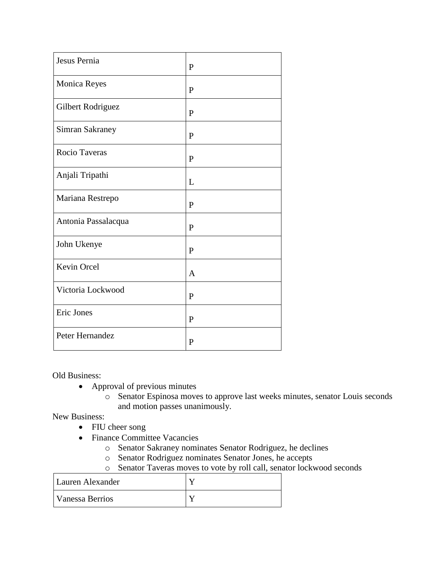| Jesus Pernia        | P            |
|---------------------|--------------|
| Monica Reyes        | $\mathbf{P}$ |
| Gilbert Rodriguez   | P            |
| Simran Sakraney     | P            |
| Rocio Taveras       | P            |
| Anjali Tripathi     | L            |
| Mariana Restrepo    | $\mathbf{P}$ |
| Antonia Passalacqua | P            |
| John Ukenye         | $\mathbf{P}$ |
| Kevin Orcel         | $\mathbf{A}$ |
| Victoria Lockwood   | P            |
| Eric Jones          | P            |
| Peter Hernandez     | $\mathbf{P}$ |

Old Business:

- Approval of previous minutes
	- o Senator Espinosa moves to approve last weeks minutes, senator Louis seconds and motion passes unanimously.

New Business:

- FIU cheer song
- Finance Committee Vacancies
	- o Senator Sakraney nominates Senator Rodriguez, he declines
	- o Senator Rodriguez nominates Senator Jones, he accepts
	- o Senator Taveras moves to vote by roll call, senator lockwood seconds

| Lauren Alexander |  |
|------------------|--|
| Vanessa Berrios  |  |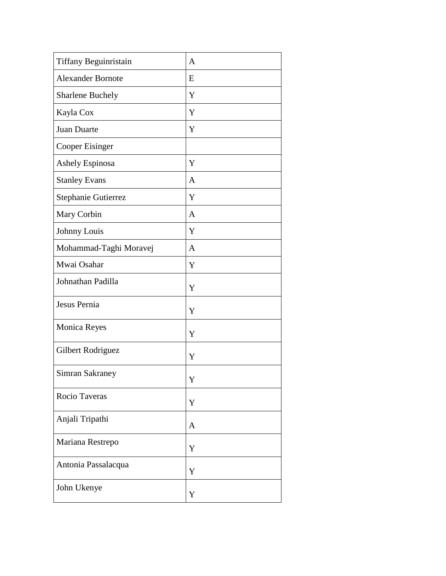| <b>Tiffany Beguinristain</b> | $\mathbf{A}$ |
|------------------------------|--------------|
| <b>Alexander Bornote</b>     | E            |
| <b>Sharlene Buchely</b>      | Y            |
| Kayla Cox                    | Y            |
| Juan Duarte                  | Y            |
| Cooper Eisinger              |              |
| Ashely Espinosa              | Y            |
| <b>Stanley Evans</b>         | A            |
| Stephanie Gutierrez          | Y            |
| Mary Corbin                  | $\mathbf{A}$ |
| Johnny Louis                 | Y            |
| Mohammad-Taghi Moravej       | A            |
| Mwai Osahar                  | Y            |
| Johnathan Padilla            | Y            |
| Jesus Pernia                 | Y            |
| Monica Reyes                 | Y            |
| Gilbert Rodriguez            | Y            |
| <b>Simran Sakraney</b>       | Y            |
| Rocio Taveras                | Y            |
| Anjali Tripathi              | $\mathbf{A}$ |
| Mariana Restrepo             | Y            |
| Antonia Passalacqua          | Y            |
| John Ukenye                  | Y            |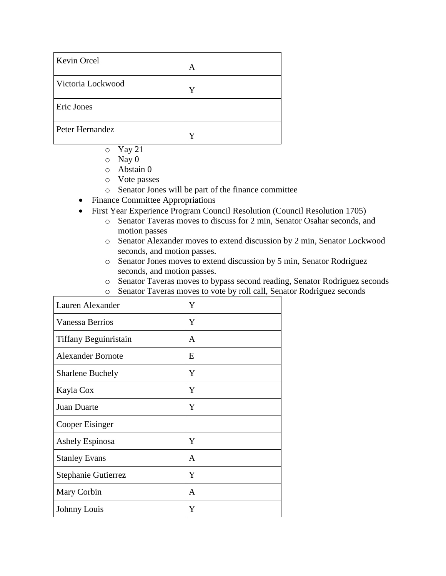| <b>Kevin Orcel</b> | A |
|--------------------|---|
| Victoria Lockwood  |   |
| Eric Jones         |   |
| Peter Hernandez    |   |

- o Yay 21
- o Nay 0
- o Abstain 0
- o Vote passes
- o Senator Jones will be part of the finance committee
- Finance Committee Appropriations
- First Year Experience Program Council Resolution (Council Resolution 1705)
	- o Senator Taveras moves to discuss for 2 min, Senator Osahar seconds, and motion passes
	- o Senator Alexander moves to extend discussion by 2 min, Senator Lockwood seconds, and motion passes.
	- o Senator Jones moves to extend discussion by 5 min, Senator Rodriguez seconds, and motion passes.
	- o Senator Taveras moves to bypass second reading, Senator Rodriguez seconds
	- o Senator Taveras moves to vote by roll call, Senator Rodriguez seconds

| Lauren Alexander         | Y |
|--------------------------|---|
| <b>Vanessa Berrios</b>   | Y |
| Tiffany Beguinristain    | A |
| <b>Alexander Bornote</b> | E |
| <b>Sharlene Buchely</b>  | Y |
| Kayla Cox                | Y |
| Juan Duarte              | Y |
| Cooper Eisinger          |   |
| <b>Ashely Espinosa</b>   | Y |
| <b>Stanley Evans</b>     | A |
| Stephanie Gutierrez      | Y |
| Mary Corbin              | A |
| Johnny Louis             | Y |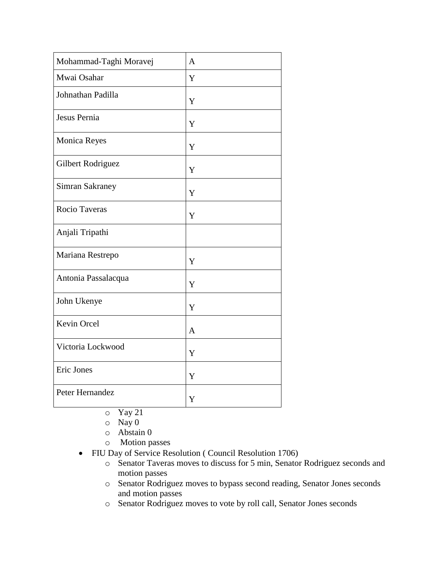| Mohammad-Taghi Moravej | $\overline{A}$ |
|------------------------|----------------|
| Mwai Osahar            | Y              |
| Johnathan Padilla      | Y              |
| Jesus Pernia           | Y              |
| <b>Monica Reyes</b>    | Y              |
| Gilbert Rodriguez      | Y              |
| <b>Simran Sakraney</b> | Y              |
| Rocio Taveras          | Y              |
| Anjali Tripathi        |                |
| Mariana Restrepo       | Y              |
| Antonia Passalacqua    | Y              |
| John Ukenye            | Y              |
| Kevin Orcel            | A              |
| Victoria Lockwood      | Y              |
| Eric Jones             | Y              |
| Peter Hernandez        | Y              |

- o Yay 21
- o Nay 0
- o Abstain 0
- o Motion passes
- FIU Day of Service Resolution ( Council Resolution 1706)
	- o Senator Taveras moves to discuss for 5 min, Senator Rodriguez seconds and motion passes
	- o Senator Rodriguez moves to bypass second reading, Senator Jones seconds and motion passes
	- o Senator Rodriguez moves to vote by roll call, Senator Jones seconds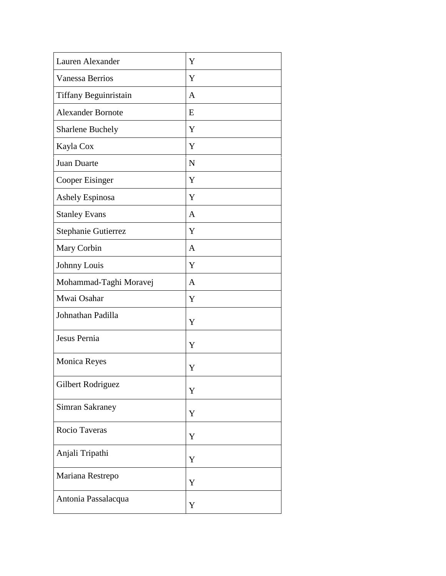| Lauren Alexander         | Y            |
|--------------------------|--------------|
| <b>Vanessa Berrios</b>   | Y            |
| Tiffany Beguinristain    | A            |
| <b>Alexander Bornote</b> | E            |
| <b>Sharlene Buchely</b>  | Y            |
| Kayla Cox                | Y            |
| Juan Duarte              | N            |
| Cooper Eisinger          | Y            |
| Ashely Espinosa          | Y            |
| <b>Stanley Evans</b>     | A            |
| Stephanie Gutierrez      | Y            |
| Mary Corbin              | A            |
| Johnny Louis             | Y            |
| Mohammad-Taghi Moravej   | $\mathbf{A}$ |
| Mwai Osahar              | Y            |
| Johnathan Padilla        | Y            |
| Jesus Pernia             | Y            |
| <b>Monica Reyes</b>      | Y            |
| Gilbert Rodriguez        | Y            |
| Simran Sakraney          | Y            |
| Rocio Taveras            | Y            |
| Anjali Tripathi          | Y            |
| Mariana Restrepo         | Y            |
| Antonia Passalacqua      | Y            |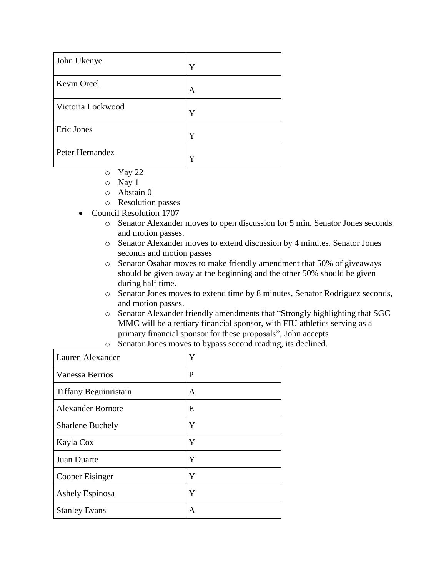| John Ukenye       | Y |
|-------------------|---|
| Kevin Orcel       | A |
| Victoria Lockwood | Y |
| Eric Jones        | Y |
| Peter Hernandez   | Y |

- o Yay 22
- o Nay 1
- o Abstain 0
- o Resolution passes
- Council Resolution 1707
	- o Senator Alexander moves to open discussion for 5 min, Senator Jones seconds and motion passes.
	- o Senator Alexander moves to extend discussion by 4 minutes, Senator Jones seconds and motion passes
	- o Senator Osahar moves to make friendly amendment that 50% of giveaways should be given away at the beginning and the other 50% should be given during half time.
	- o Senator Jones moves to extend time by 8 minutes, Senator Rodriguez seconds, and motion passes.
	- o Senator Alexander friendly amendments that "Strongly highlighting that SGC MMC will be a tertiary financial sponsor, with FIU athletics serving as a primary financial sponsor for these proposals", John accepts
	- o Senator Jones moves to bypass second reading, its declined.

| Lauren Alexander         | Y |
|--------------------------|---|
| <b>Vanessa Berrios</b>   | P |
| Tiffany Beguinristain    | A |
| <b>Alexander Bornote</b> | E |
| <b>Sharlene Buchely</b>  | Y |
| Kayla Cox                | Y |
| Juan Duarte              | Y |
| Cooper Eisinger          | Y |
| Ashely Espinosa          | Y |
| <b>Stanley Evans</b>     | A |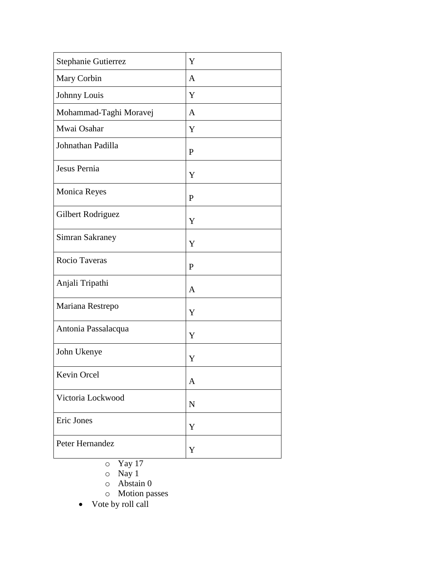| Stephanie Gutierrez    | Y            |
|------------------------|--------------|
| Mary Corbin            | A            |
| Johnny Louis           | Y            |
| Mohammad-Taghi Moravej | A            |
| Mwai Osahar            | Y            |
| Johnathan Padilla      | $\mathbf{P}$ |
| Jesus Pernia           | Y            |
| <b>Monica Reyes</b>    | $\mathbf{P}$ |
| Gilbert Rodriguez      | Y            |
| <b>Simran Sakraney</b> | Y            |
| Rocio Taveras          | $\mathbf{P}$ |
| Anjali Tripathi        | A            |
| Mariana Restrepo       | Y            |
| Antonia Passalacqua    | Y            |
| John Ukenye            | Y            |
| Kevin Orcel            | $\mathbf{A}$ |
| Victoria Lockwood      | $\mathbf N$  |
| Eric Jones             | Y            |
| Peter Hernandez        | Y            |

o Yay 17

o Nay 1

o Abstain 0

o Motion passes

• Vote by roll call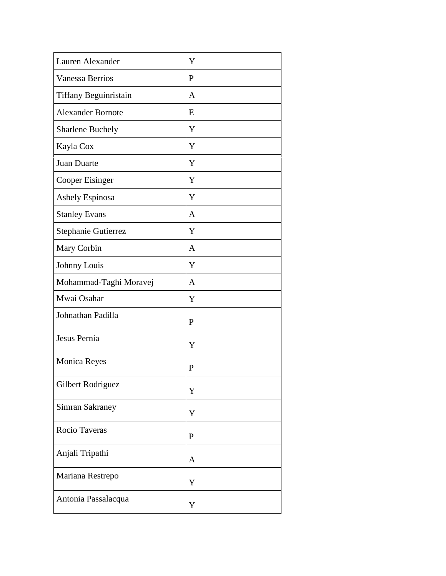| Lauren Alexander         | Y            |
|--------------------------|--------------|
| <b>Vanessa Berrios</b>   | $\mathbf{P}$ |
| Tiffany Beguinristain    | A            |
| <b>Alexander Bornote</b> | E            |
| <b>Sharlene Buchely</b>  | Y            |
| Kayla Cox                | Y            |
| Juan Duarte              | Y            |
| Cooper Eisinger          | Y            |
| Ashely Espinosa          | Y            |
| <b>Stanley Evans</b>     | A            |
| Stephanie Gutierrez      | Y            |
| Mary Corbin              | A            |
| Johnny Louis             | Y            |
| Mohammad-Taghi Moravej   | A            |
| Mwai Osahar              | Y            |
| Johnathan Padilla        | $\mathbf{P}$ |
| Jesus Pernia             | Y            |
| <b>Monica Reyes</b>      | P            |
| Gilbert Rodriguez        | Y            |
| Simran Sakraney          | Y            |
| Rocio Taveras            | $\mathbf{P}$ |
| Anjali Tripathi          | A            |
| Mariana Restrepo         | Y            |
| Antonia Passalacqua      | Y            |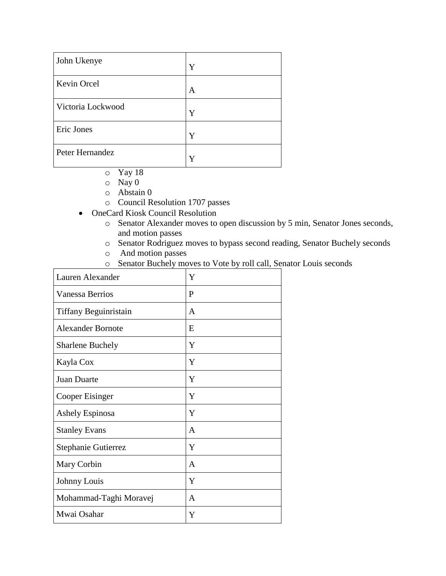| John Ukenye       | Y |
|-------------------|---|
| Kevin Orcel       | A |
| Victoria Lockwood | Y |
| Eric Jones        | Y |
| Peter Hernandez   | v |

- o Yay 18
- o Nay 0
- o Abstain 0
- o Council Resolution 1707 passes
- OneCard Kiosk Council Resolution
	- o Senator Alexander moves to open discussion by 5 min, Senator Jones seconds, and motion passes
	- o Senator Rodriguez moves to bypass second reading, Senator Buchely seconds
	- o And motion passes
	- o Senator Buchely moves to Vote by roll call, Senator Louis seconds

| Lauren Alexander         | Y |
|--------------------------|---|
| <b>Vanessa Berrios</b>   | P |
| Tiffany Beguinristain    | A |
| <b>Alexander Bornote</b> | E |
| <b>Sharlene Buchely</b>  | Y |
| Kayla Cox                | Y |
| <b>Juan Duarte</b>       | Y |
| <b>Cooper Eisinger</b>   | Y |
| <b>Ashely Espinosa</b>   | Y |
| <b>Stanley Evans</b>     | A |
| Stephanie Gutierrez      | Y |
| Mary Corbin              | A |
| Johnny Louis             | Y |
| Mohammad-Taghi Moravej   | A |
| Mwai Osahar              | Y |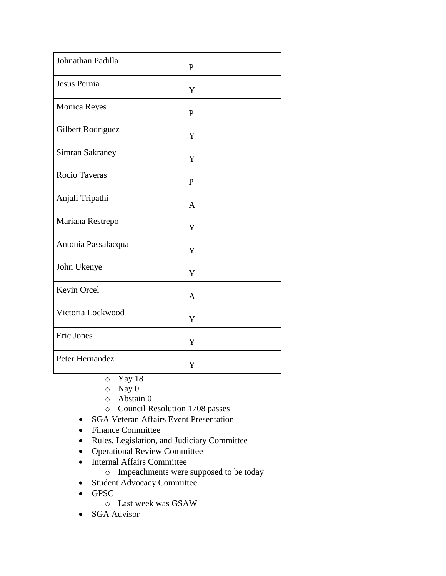| Johnathan Padilla   | $\mathbf{P}$ |
|---------------------|--------------|
| Jesus Pernia        | Y            |
| Monica Reyes        | $\mathbf{P}$ |
| Gilbert Rodriguez   | Y            |
| Simran Sakraney     | Y            |
| Rocio Taveras       | $\mathbf{P}$ |
| Anjali Tripathi     | A            |
| Mariana Restrepo    | Y            |
| Antonia Passalacqua | Y            |
| John Ukenye         | Y            |
| Kevin Orcel         | $\mathbf{A}$ |
| Victoria Lockwood   | Y            |
| Eric Jones          | Y            |
| Peter Hernandez     | Y            |

- o Yay 18
- o Nay 0
- o Abstain 0
- o Council Resolution 1708 passes
- SGA Veteran Affairs Event Presentation
- Finance Committee
- Rules, Legislation, and Judiciary Committee
- Operational Review Committee
- Internal Affairs Committee
	- o Impeachments were supposed to be today
- Student Advocacy Committee
- GPSC
	- o Last week was GSAW
- SGA Advisor